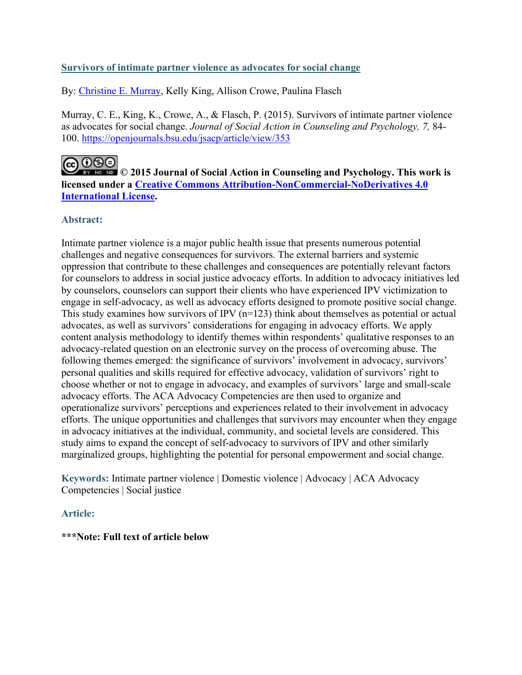# **Survivors of intimate partner violence as advocates for social change**

By: [Christine E. Murray,](https://libres.uncg.edu/ir/uncg/clist.aspx?id=894) Kelly King, Allison Crowe, Paulina Flasch

Murray, C. E., King, K., Crowe, A., & Flasch, P. (2015). Survivors of intimate partner violence as advocates for social change. *Journal of Social Action in Counseling and Psychology, 7,* 84- 100. <https://openjournals.bsu.edu/jsacp/article/view/353>

# ക⊙®ി

**© 2015 Journal of Social Action in Counseling and Psychology. This work is licensed under a [Creative Commons Attribution-NonCommercial-NoDerivatives 4.0](http://creativecommons.org/licenses/by-nc-nd/4.0/)  [International License.](http://creativecommons.org/licenses/by-nc-nd/4.0/)**

# **Abstract:**

Intimate partner violence is a major public health issue that presents numerous potential challenges and negative consequences for survivors. The external barriers and systemic oppression that contribute to these challenges and consequences are potentially relevant factors for counselors to address in social justice advocacy efforts. In addition to advocacy initiatives led by counselors, counselors can support their clients who have experienced IPV victimization to engage in self-advocacy, as well as advocacy efforts designed to promote positive social change. This study examines how survivors of IPV  $(n=123)$  think about themselves as potential or actual advocates, as well as survivors' considerations for engaging in advocacy efforts. We apply content analysis methodology to identify themes within respondents' qualitative responses to an advocacy-related question on an electronic survey on the process of overcoming abuse. The following themes emerged: the significance of survivors' involvement in advocacy, survivors' personal qualities and skills required for effective advocacy, validation of survivors' right to choose whether or not to engage in advocacy, and examples of survivors' large and small-scale advocacy efforts. The ACA Advocacy Competencies are then used to organize and operationalize survivors' perceptions and experiences related to their involvement in advocacy efforts. The unique opportunities and challenges that survivors may encounter when they engage in advocacy initiatives at the individual, community, and societal levels are considered. This study aims to expand the concept of self-advocacy to survivors of IPV and other similarly marginalized groups, highlighting the potential for personal empowerment and social change.

**Keywords:** Intimate partner violence | Domestic violence | Advocacy | ACA Advocacy Competencies | Social justice

# **Article:**

# **\*\*\*Note: Full text of article below**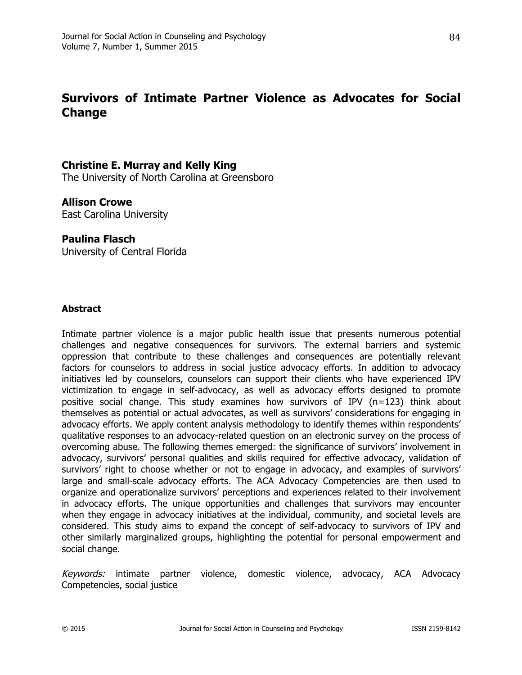# **Survivors of Intimate Partner Violence as Advocates for Social Change**

# **Christine E. Murray and Kelly King**

The University of North Carolina at Greensboro

## **Allison Crowe**

East Carolina University

## **Paulina Flasch**

University of Central Florida

## **Abstract**

Intimate partner violence is a major public health issue that presents numerous potential challenges and negative consequences for survivors. The external barriers and systemic oppression that contribute to these challenges and consequences are potentially relevant factors for counselors to address in social justice advocacy efforts. In addition to advocacy initiatives led by counselors, counselors can support their clients who have experienced IPV victimization to engage in self-advocacy, as well as advocacy efforts designed to promote positive social change. This study examines how survivors of IPV (n=123) think about themselves as potential or actual advocates, as well as survivors' considerations for engaging in advocacy efforts. We apply content analysis methodology to identify themes within respondents' qualitative responses to an advocacy-related question on an electronic survey on the process of overcoming abuse. The following themes emerged: the significance of survivors' involvement in advocacy, survivors' personal qualities and skills required for effective advocacy, validation of survivors' right to choose whether or not to engage in advocacy, and examples of survivors' large and small-scale advocacy efforts. The ACA Advocacy Competencies are then used to organize and operationalize survivors' perceptions and experiences related to their involvement in advocacy efforts. The unique opportunities and challenges that survivors may encounter when they engage in advocacy initiatives at the individual, community, and societal levels are considered. This study aims to expand the concept of self-advocacy to survivors of IPV and other similarly marginalized groups, highlighting the potential for personal empowerment and social change.

Keywords: intimate partner violence, domestic violence, advocacy, ACA Advocacy Competencies, social justice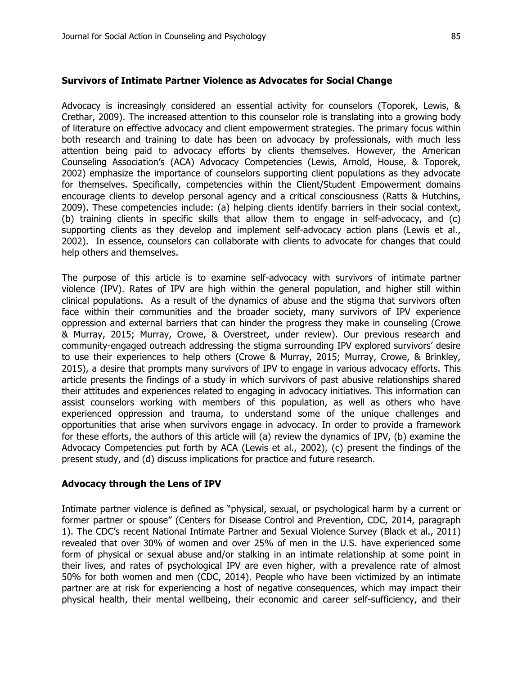#### **Survivors of Intimate Partner Violence as Advocates for Social Change**

Advocacy is increasingly considered an essential activity for counselors (Toporek, Lewis, & Crethar, 2009). The increased attention to this counselor role is translating into a growing body of literature on effective advocacy and client empowerment strategies. The primary focus within both research and training to date has been on advocacy by professionals, with much less attention being paid to advocacy efforts by clients themselves. However, the American Counseling Association's (ACA) Advocacy Competencies (Lewis, Arnold, House, & Toporek, 2002) emphasize the importance of counselors supporting client populations as they advocate for themselves. Specifically, competencies within the Client/Student Empowerment domains encourage clients to develop personal agency and a critical consciousness (Ratts & Hutchins, 2009). These competencies include: (a) helping clients identify barriers in their social context, (b) training clients in specific skills that allow them to engage in self-advocacy, and (c) supporting clients as they develop and implement self-advocacy action plans (Lewis et al., 2002). In essence, counselors can collaborate with clients to advocate for changes that could help others and themselves.

The purpose of this article is to examine self-advocacy with survivors of intimate partner violence (IPV). Rates of IPV are high within the general population, and higher still within clinical populations. As a result of the dynamics of abuse and the stigma that survivors often face within their communities and the broader society, many survivors of IPV experience oppression and external barriers that can hinder the progress they make in counseling (Crowe & Murray, 2015; Murray, Crowe, & Overstreet, under review). Our previous research and community-engaged outreach addressing the stigma surrounding IPV explored survivors' desire to use their experiences to help others (Crowe & Murray, 2015; Murray, Crowe, & Brinkley, 2015), a desire that prompts many survivors of IPV to engage in various advocacy efforts. This article presents the findings of a study in which survivors of past abusive relationships shared their attitudes and experiences related to engaging in advocacy initiatives. This information can assist counselors working with members of this population, as well as others who have experienced oppression and trauma, to understand some of the unique challenges and opportunities that arise when survivors engage in advocacy. In order to provide a framework for these efforts, the authors of this article will (a) review the dynamics of IPV, (b) examine the Advocacy Competencies put forth by ACA (Lewis et al., 2002), (c) present the findings of the present study, and (d) discuss implications for practice and future research.

#### **Advocacy through the Lens of IPV**

Intimate partner violence is defined as "physical, sexual, or psychological harm by a current or former partner or spouse" (Centers for Disease Control and Prevention, CDC, 2014, paragraph 1). The CDC's recent National Intimate Partner and Sexual Violence Survey (Black et al., 2011) revealed that over 30% of women and over 25% of men in the U.S. have experienced some form of physical or sexual abuse and/or stalking in an intimate relationship at some point in their lives, and rates of psychological IPV are even higher, with a prevalence rate of almost 50% for both women and men (CDC, 2014). People who have been victimized by an intimate partner are at risk for experiencing a host of negative consequences, which may impact their physical health, their mental wellbeing, their economic and career self-sufficiency, and their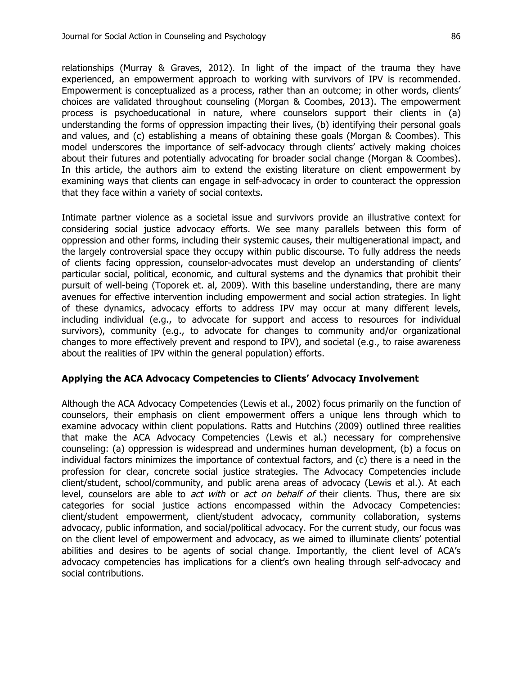relationships (Murray & Graves, 2012). In light of the impact of the trauma they have experienced, an empowerment approach to working with survivors of IPV is recommended. Empowerment is conceptualized as a process, rather than an outcome; in other words, clients' choices are validated throughout counseling (Morgan & Coombes, 2013). The empowerment process is psychoeducational in nature, where counselors support their clients in (a) understanding the forms of oppression impacting their lives, (b) identifying their personal goals and values, and (c) establishing a means of obtaining these goals (Morgan & Coombes). This model underscores the importance of self-advocacy through clients' actively making choices about their futures and potentially advocating for broader social change (Morgan & Coombes). In this article, the authors aim to extend the existing literature on client empowerment by examining ways that clients can engage in self-advocacy in order to counteract the oppression that they face within a variety of social contexts.

Intimate partner violence as a societal issue and survivors provide an illustrative context for considering social justice advocacy efforts. We see many parallels between this form of oppression and other forms, including their systemic causes, their multigenerational impact, and the largely controversial space they occupy within public discourse. To fully address the needs of clients facing oppression, counselor-advocates must develop an understanding of clients' particular social, political, economic, and cultural systems and the dynamics that prohibit their pursuit of well-being (Toporek et. al, 2009). With this baseline understanding, there are many avenues for effective intervention including empowerment and social action strategies. In light of these dynamics, advocacy efforts to address IPV may occur at many different levels, including individual (e.g., to advocate for support and access to resources for individual survivors), community (e.g., to advocate for changes to community and/or organizational changes to more effectively prevent and respond to IPV), and societal (e.g., to raise awareness about the realities of IPV within the general population) efforts.

## **Applying the ACA Advocacy Competencies to Clients' Advocacy Involvement**

Although the ACA Advocacy Competencies (Lewis et al., 2002) focus primarily on the function of counselors, their emphasis on client empowerment offers a unique lens through which to examine advocacy within client populations. Ratts and Hutchins (2009) outlined three realities that make the ACA Advocacy Competencies (Lewis et al.) necessary for comprehensive counseling: (a) oppression is widespread and undermines human development, (b) a focus on individual factors minimizes the importance of contextual factors, and (c) there is a need in the profession for clear, concrete social justice strategies. The Advocacy Competencies include client/student, school/community, and public arena areas of advocacy (Lewis et al.). At each level, counselors are able to *act with* or *act on behalf of* their clients. Thus, there are six categories for social justice actions encompassed within the Advocacy Competencies: client/student empowerment, client/student advocacy, community collaboration, systems advocacy, public information, and social/political advocacy. For the current study, our focus was on the client level of empowerment and advocacy, as we aimed to illuminate clients' potential abilities and desires to be agents of social change. Importantly, the client level of ACA's advocacy competencies has implications for a client's own healing through self-advocacy and social contributions.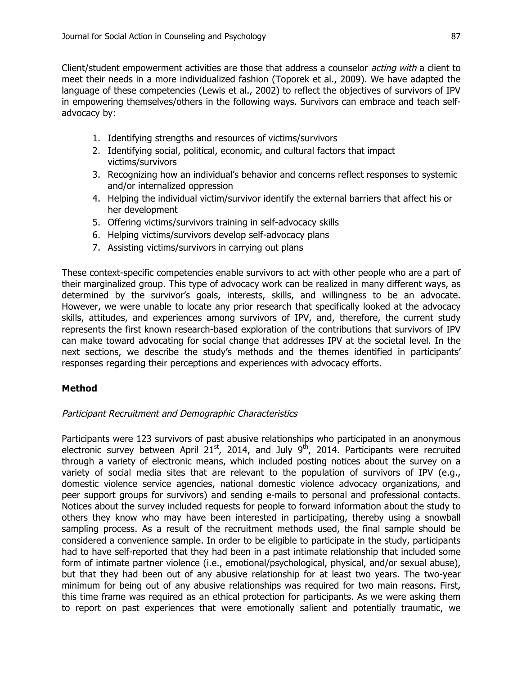Client/student empowerment activities are those that address a counselor *acting with* a client to meet their needs in a more individualized fashion (Toporek et al., 2009). We have adapted the language of these competencies (Lewis et al., 2002) to reflect the objectives of survivors of IPV in empowering themselves/others in the following ways. Survivors can embrace and teach selfadvocacy by:

- 1. Identifying strengths and resources of victims/survivors
- 2. Identifying social, political, economic, and cultural factors that impact victims/survivors
- 3. Recognizing how an individual's behavior and concerns reflect responses to systemic and/or internalized oppression
- 4. Helping the individual victim/survivor identify the external barriers that affect his or her development
- 5. Offering victims/survivors training in self-advocacy skills
- 6. Helping victims/survivors develop self-advocacy plans
- 7. Assisting victims/survivors in carrying out plans

These context-specific competencies enable survivors to act with other people who are a part of their marginalized group. This type of advocacy work can be realized in many different ways, as determined by the survivor's goals, interests, skills, and willingness to be an advocate. However, we were unable to locate any prior research that specifically looked at the advocacy skills, attitudes, and experiences among survivors of IPV, and, therefore, the current study represents the first known research-based exploration of the contributions that survivors of IPV can make toward advocating for social change that addresses IPV at the societal level. In the next sections, we describe the study's methods and the themes identified in participants' responses regarding their perceptions and experiences with advocacy efforts.

## **Method**

## Participant Recruitment and Demographic Characteristics

Participants were 123 survivors of past abusive relationships who participated in an anonymous electronic survey between April 21<sup>st</sup>, 2014, and July 9<sup>th</sup>, 2014. Participants were recruited through a variety of electronic means, which included posting notices about the survey on a variety of social media sites that are relevant to the population of survivors of IPV (e.g., domestic violence service agencies, national domestic violence advocacy organizations, and peer support groups for survivors) and sending e-mails to personal and professional contacts. Notices about the survey included requests for people to forward information about the study to others they know who may have been interested in participating, thereby using a snowball sampling process. As a result of the recruitment methods used, the final sample should be considered a convenience sample. In order to be eligible to participate in the study, participants had to have self-reported that they had been in a past intimate relationship that included some form of intimate partner violence (i.e., emotional/psychological, physical, and/or sexual abuse), but that they had been out of any abusive relationship for at least two years. The two-year minimum for being out of any abusive relationships was required for two main reasons. First, this time frame was required as an ethical protection for participants. As we were asking them to report on past experiences that were emotionally salient and potentially traumatic, we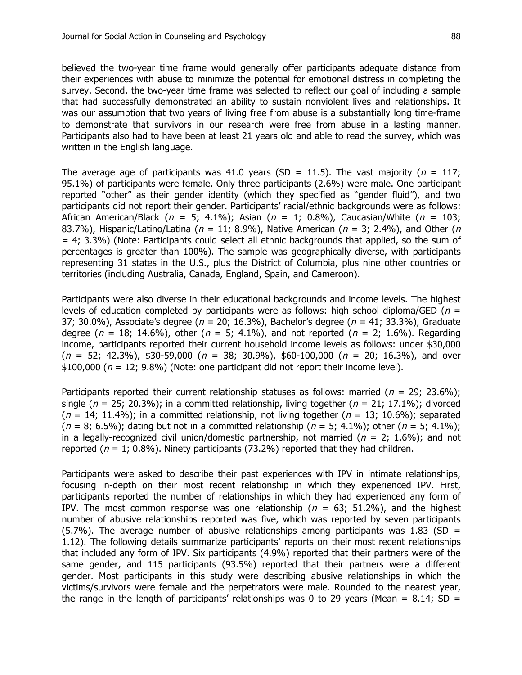believed the two-year time frame would generally offer participants adequate distance from their experiences with abuse to minimize the potential for emotional distress in completing the survey. Second, the two-year time frame was selected to reflect our goal of including a sample that had successfully demonstrated an ability to sustain nonviolent lives and relationships. It was our assumption that two years of living free from abuse is a substantially long time-frame to demonstrate that survivors in our research were free from abuse in a lasting manner. Participants also had to have been at least 21 years old and able to read the survey, which was written in the English language.

The average age of participants was 41.0 years (SD = 11.5). The vast majority ( $n = 117$ ; 95.1%) of participants were female. Only three participants (2.6%) were male. One participant reported "other" as their gender identity (which they specified as "gender fluid"), and two participants did not report their gender. Participants' racial/ethnic backgrounds were as follows: African American/Black ( $n = 5$ ; 4.1%); Asian ( $n = 1$ ; 0.8%), Caucasian/White ( $n = 103$ ; 83.7%), Hispanic/Latino/Latina ( $n = 11$ ; 8.9%), Native American ( $n = 3$ ; 2.4%), and Other ( $n = 3$ )  $= 4$ ; 3.3%) (Note: Participants could select all ethnic backgrounds that applied, so the sum of percentages is greater than 100%). The sample was geographically diverse, with participants representing 31 states in the U.S., plus the District of Columbia, plus nine other countries or territories (including Australia, Canada, England, Spain, and Cameroon).

Participants were also diverse in their educational backgrounds and income levels. The highest levels of education completed by participants were as follows: high school diploma/GED ( $n =$ 37; 30.0%), Associate's degree ( $n = 20$ ; 16.3%), Bachelor's degree ( $n = 41$ ; 33.3%), Graduate degree ( $n = 18$ ; 14.6%), other ( $n = 5$ ; 4.1%), and not reported ( $n = 2$ ; 1.6%). Regarding income, participants reported their current household income levels as follows: under \$30,000  $(n = 52; 42.3\%)$ , \$30-59,000  $(n = 38; 30.9\%)$ , \$60-100,000  $(n = 20; 16.3\%)$ , and over  $$100,000$  ( $n = 12$ ; 9.8%) (Note: one participant did not report their income level).

Participants reported their current relationship statuses as follows: married ( $n = 29$ ; 23.6%); single ( $n = 25$ ; 20.3%); in a committed relationship, living together ( $n = 21$ ; 17.1%); divorced  $(n = 14; 11.4\%)$ ; in a committed relationship, not living together  $(n = 13; 10.6\%)$ ; separated  $(n = 8; 6.5\%)$ ; dating but not in a committed relationship  $(n = 5; 4.1\%)$ ; other  $(n = 5; 4.1\%)$ ; in a legally-recognized civil union/domestic partnership, not married ( $n = 2$ ; 1.6%); and not reported ( $n = 1$ ; 0.8%). Ninety participants (73.2%) reported that they had children.

Participants were asked to describe their past experiences with IPV in intimate relationships, focusing in-depth on their most recent relationship in which they experienced IPV. First, participants reported the number of relationships in which they had experienced any form of IPV. The most common response was one relationship ( $n = 63$ ; 51.2%), and the highest number of abusive relationships reported was five, which was reported by seven participants (5.7%). The average number of abusive relationships among participants was 1.83 (SD = 1.12). The following details summarize participants' reports on their most recent relationships that included any form of IPV. Six participants (4.9%) reported that their partners were of the same gender, and 115 participants (93.5%) reported that their partners were a different gender. Most participants in this study were describing abusive relationships in which the victims/survivors were female and the perpetrators were male. Rounded to the nearest year, the range in the length of participants' relationships was 0 to 29 years (Mean = 8.14; SD =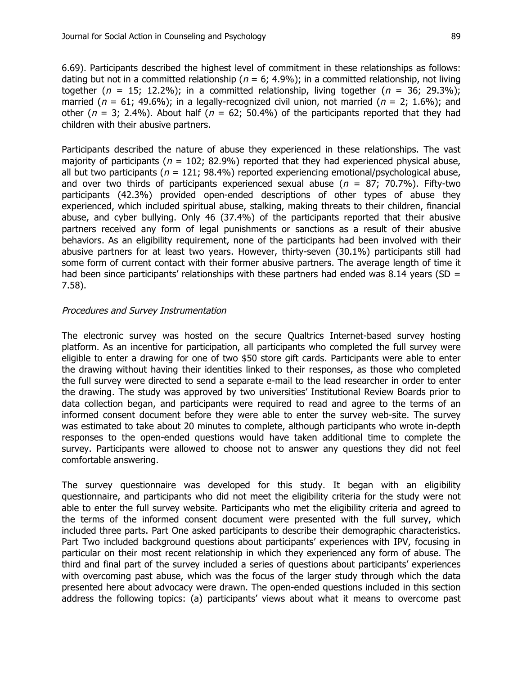6.69). Participants described the highest level of commitment in these relationships as follows: dating but not in a committed relationship ( $n = 6$ ; 4.9%); in a committed relationship, not living together ( $n = 15$ ; 12.2%); in a committed relationship, living together ( $n = 36$ ; 29.3%); married ( $n = 61$ ; 49.6%); in a legally-recognized civil union, not married ( $n = 2$ ; 1.6%); and other ( $n = 3$ ; 2.4%). About half ( $n = 62$ ; 50.4%) of the participants reported that they had children with their abusive partners.

Participants described the nature of abuse they experienced in these relationships. The vast majority of participants ( $n = 102$ ; 82.9%) reported that they had experienced physical abuse, all but two participants ( $n = 121$ ; 98.4%) reported experiencing emotional/psychological abuse, and over two thirds of participants experienced sexual abuse ( $n = 87$ ; 70.7%). Fifty-two participants (42.3%) provided open-ended descriptions of other types of abuse they experienced, which included spiritual abuse, stalking, making threats to their children, financial abuse, and cyber bullying. Only 46 (37.4%) of the participants reported that their abusive partners received any form of legal punishments or sanctions as a result of their abusive behaviors. As an eligibility requirement, none of the participants had been involved with their abusive partners for at least two years. However, thirty-seven (30.1%) participants still had some form of current contact with their former abusive partners. The average length of time it had been since participants' relationships with these partners had ended was 8.14 years (SD  $=$ 7.58).

## Procedures and Survey Instrumentation

The electronic survey was hosted on the secure Qualtrics Internet-based survey hosting platform. As an incentive for participation, all participants who completed the full survey were eligible to enter a drawing for one of two \$50 store gift cards. Participants were able to enter the drawing without having their identities linked to their responses, as those who completed the full survey were directed to send a separate e-mail to the lead researcher in order to enter the drawing. The study was approved by two universities' Institutional Review Boards prior to data collection began, and participants were required to read and agree to the terms of an informed consent document before they were able to enter the survey web-site. The survey was estimated to take about 20 minutes to complete, although participants who wrote in-depth responses to the open-ended questions would have taken additional time to complete the survey. Participants were allowed to choose not to answer any questions they did not feel comfortable answering.

The survey questionnaire was developed for this study. It began with an eligibility questionnaire, and participants who did not meet the eligibility criteria for the study were not able to enter the full survey website. Participants who met the eligibility criteria and agreed to the terms of the informed consent document were presented with the full survey, which included three parts. Part One asked participants to describe their demographic characteristics. Part Two included background questions about participants' experiences with IPV, focusing in particular on their most recent relationship in which they experienced any form of abuse. The third and final part of the survey included a series of questions about participants' experiences with overcoming past abuse, which was the focus of the larger study through which the data presented here about advocacy were drawn. The open-ended questions included in this section address the following topics: (a) participants' views about what it means to overcome past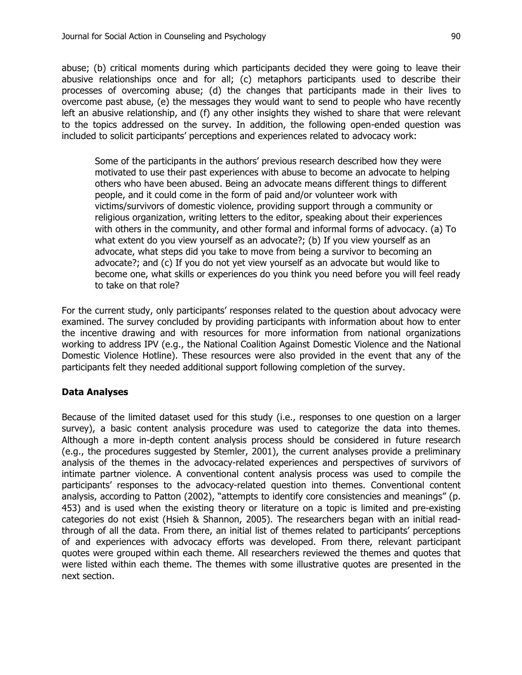abuse; (b) critical moments during which participants decided they were going to leave their abusive relationships once and for all; (c) metaphors participants used to describe their processes of overcoming abuse; (d) the changes that participants made in their lives to overcome past abuse, (e) the messages they would want to send to people who have recently left an abusive relationship, and (f) any other insights they wished to share that were relevant to the topics addressed on the survey. In addition, the following open-ended question was included to solicit participants' perceptions and experiences related to advocacy work:

Some of the participants in the authors' previous research described how they were motivated to use their past experiences with abuse to become an advocate to helping others who have been abused. Being an advocate means different things to different people, and it could come in the form of paid and/or volunteer work with victims/survivors of domestic violence, providing support through a community or religious organization, writing letters to the editor, speaking about their experiences with others in the community, and other formal and informal forms of advocacy. (a) To what extent do you view yourself as an advocate?; (b) If you view yourself as an advocate, what steps did you take to move from being a survivor to becoming an advocate?; and (c) If you do not yet view yourself as an advocate but would like to become one, what skills or experiences do you think you need before you will feel ready to take on that role?

For the current study, only participants' responses related to the question about advocacy were examined. The survey concluded by providing participants with information about how to enter the incentive drawing and with resources for more information from national organizations working to address IPV (e.g., the National Coalition Against Domestic Violence and the National Domestic Violence Hotline). These resources were also provided in the event that any of the participants felt they needed additional support following completion of the survey.

## **Data Analyses**

Because of the limited dataset used for this study (i.e., responses to one question on a larger survey), a basic content analysis procedure was used to categorize the data into themes. Although a more in-depth content analysis process should be considered in future research (e.g., the procedures suggested by Stemler, 2001), the current analyses provide a preliminary analysis of the themes in the advocacy-related experiences and perspectives of survivors of intimate partner violence. A conventional content analysis process was used to compile the participants' responses to the advocacy-related question into themes. Conventional content analysis, according to Patton (2002), "attempts to identify core consistencies and meanings" (p. 453) and is used when the existing theory or literature on a topic is limited and pre-existing categories do not exist (Hsieh & Shannon, 2005). The researchers began with an initial readthrough of all the data. From there, an initial list of themes related to participants' perceptions of and experiences with advocacy efforts was developed. From there, relevant participant quotes were grouped within each theme. All researchers reviewed the themes and quotes that were listed within each theme. The themes with some illustrative quotes are presented in the next section.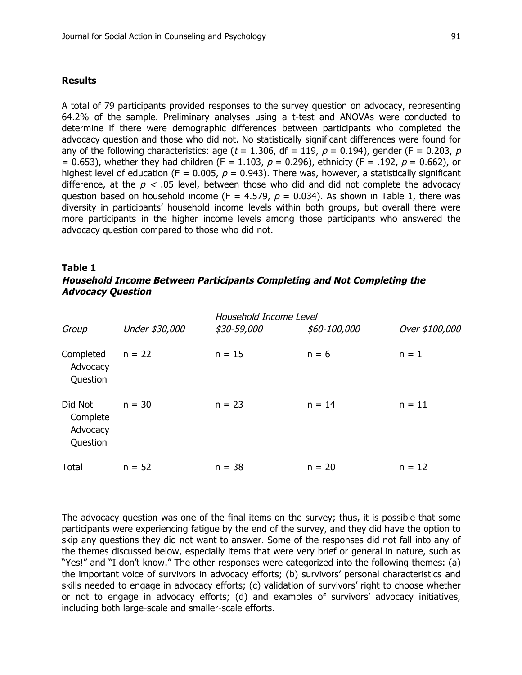#### **Results**

A total of 79 participants provided responses to the survey question on advocacy, representing 64.2% of the sample. Preliminary analyses using a t-test and ANOVAs were conducted to determine if there were demographic differences between participants who completed the advocacy question and those who did not. No statistically significant differences were found for any of the following characteristics: age ( $t = 1.306$ , df = 119,  $p = 0.194$ ), gender (F = 0.203, p = 0.653), whether they had children (F = 1.103,  $p = 0.296$ ), ethnicity (F = .192,  $p = 0.662$ ), or highest level of education (F = 0.005,  $p = 0.943$ ). There was, however, a statistically significant difference, at the  $p < 0.05$  level, between those who did and did not complete the advocacy question based on household income (F = 4.579,  $p = 0.034$ ). As shown in Table 1, there was diversity in participants' household income levels within both groups, but overall there were more participants in the higher income levels among those participants who answered the advocacy question compared to those who did not.

#### **Table 1**

## **Household Income Between Participants Completing and Not Completing the Advocacy Question**

| Group                                       |                | Household Income Level |              |                |
|---------------------------------------------|----------------|------------------------|--------------|----------------|
|                                             | Under \$30,000 | \$30-59,000            | \$60-100,000 | Over \$100,000 |
| Completed<br>Advocacy<br>Question           | $n = 22$       | $n = 15$               | $n = 6$      | $n = 1$        |
| Did Not<br>Complete<br>Advocacy<br>Question | $n = 30$       | $n = 23$               | $n = 14$     | $n = 11$       |
| Total                                       | $n = 52$       | $n = 38$               | $n = 20$     | $n = 12$       |

The advocacy question was one of the final items on the survey; thus, it is possible that some participants were experiencing fatigue by the end of the survey, and they did have the option to skip any questions they did not want to answer. Some of the responses did not fall into any of the themes discussed below, especially items that were very brief or general in nature, such as "Yes!" and "I don't know." The other responses were categorized into the following themes: (a) the important voice of survivors in advocacy efforts; (b) survivors' personal characteristics and skills needed to engage in advocacy efforts; (c) validation of survivors' right to choose whether or not to engage in advocacy efforts; (d) and examples of survivors' advocacy initiatives, including both large-scale and smaller-scale efforts.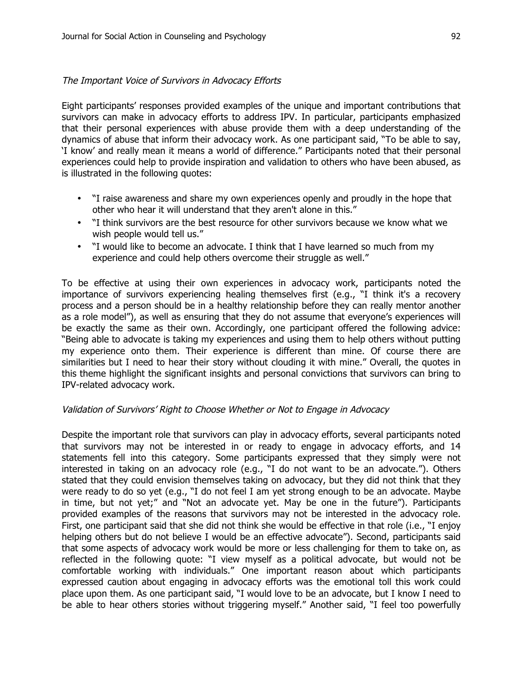## The Important Voice of Survivors in Advocacy Efforts

Eight participants' responses provided examples of the unique and important contributions that survivors can make in advocacy efforts to address IPV. In particular, participants emphasized that their personal experiences with abuse provide them with a deep understanding of the dynamics of abuse that inform their advocacy work. As one participant said, "To be able to say, 'I know' and really mean it means a world of difference." Participants noted that their personal experiences could help to provide inspiration and validation to others who have been abused, as is illustrated in the following quotes:

- "I raise awareness and share my own experiences openly and proudly in the hope that other who hear it will understand that they aren't alone in this."
- "I think survivors are the best resource for other survivors because we know what we wish people would tell us."
- "I would like to become an advocate. I think that I have learned so much from my experience and could help others overcome their struggle as well."

To be effective at using their own experiences in advocacy work, participants noted the importance of survivors experiencing healing themselves first (e.g., "I think it's a recovery process and a person should be in a healthy relationship before they can really mentor another as a role model"), as well as ensuring that they do not assume that everyone's experiences will be exactly the same as their own. Accordingly, one participant offered the following advice: "Being able to advocate is taking my experiences and using them to help others without putting my experience onto them. Their experience is different than mine. Of course there are similarities but I need to hear their story without clouding it with mine." Overall, the quotes in this theme highlight the significant insights and personal convictions that survivors can bring to IPV-related advocacy work.

## Validation of Survivors' Right to Choose Whether or Not to Engage in Advocacy

Despite the important role that survivors can play in advocacy efforts, several participants noted that survivors may not be interested in or ready to engage in advocacy efforts, and 14 statements fell into this category. Some participants expressed that they simply were not interested in taking on an advocacy role (e.g., "I do not want to be an advocate."). Others stated that they could envision themselves taking on advocacy, but they did not think that they were ready to do so yet (e.g., "I do not feel I am yet strong enough to be an advocate. Maybe in time, but not yet;" and "Not an advocate yet. May be one in the future"). Participants provided examples of the reasons that survivors may not be interested in the advocacy role. First, one participant said that she did not think she would be effective in that role (i.e., "I enjoy helping others but do not believe I would be an effective advocate"). Second, participants said that some aspects of advocacy work would be more or less challenging for them to take on, as reflected in the following quote: "I view myself as a political advocate, but would not be comfortable working with individuals." One important reason about which participants expressed caution about engaging in advocacy efforts was the emotional toll this work could place upon them. As one participant said, "I would love to be an advocate, but I know I need to be able to hear others stories without triggering myself." Another said, "I feel too powerfully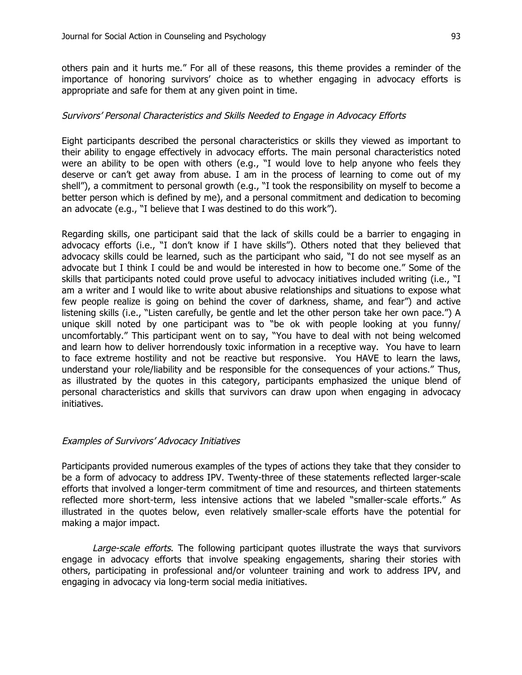others pain and it hurts me." For all of these reasons, this theme provides a reminder of the importance of honoring survivors' choice as to whether engaging in advocacy efforts is appropriate and safe for them at any given point in time.

## Survivors' Personal Characteristics and Skills Needed to Engage in Advocacy Efforts

Eight participants described the personal characteristics or skills they viewed as important to their ability to engage effectively in advocacy efforts. The main personal characteristics noted were an ability to be open with others (e.g., "I would love to help anyone who feels they deserve or can't get away from abuse. I am in the process of learning to come out of my shell"), a commitment to personal growth (e.g., "I took the responsibility on myself to become a better person which is defined by me), and a personal commitment and dedication to becoming an advocate (e.g., "I believe that I was destined to do this work").

Regarding skills, one participant said that the lack of skills could be a barrier to engaging in advocacy efforts (i.e., "I don't know if I have skills"). Others noted that they believed that advocacy skills could be learned, such as the participant who said, "I do not see myself as an advocate but I think I could be and would be interested in how to become one." Some of the skills that participants noted could prove useful to advocacy initiatives included writing (i.e., "I am a writer and I would like to write about abusive relationships and situations to expose what few people realize is going on behind the cover of darkness, shame, and fear") and active listening skills (i.e., "Listen carefully, be gentle and let the other person take her own pace.") A unique skill noted by one participant was to "be ok with people looking at you funny/ uncomfortably." This participant went on to say, "You have to deal with not being welcomed and learn how to deliver horrendously toxic information in a receptive way. You have to learn to face extreme hostility and not be reactive but responsive. You HAVE to learn the laws, understand your role/liability and be responsible for the consequences of your actions." Thus, as illustrated by the quotes in this category, participants emphasized the unique blend of personal characteristics and skills that survivors can draw upon when engaging in advocacy initiatives.

#### Examples of Survivors' Advocacy Initiatives

Participants provided numerous examples of the types of actions they take that they consider to be a form of advocacy to address IPV. Twenty-three of these statements reflected larger-scale efforts that involved a longer-term commitment of time and resources, and thirteen statements reflected more short-term, less intensive actions that we labeled "smaller-scale efforts." As illustrated in the quotes below, even relatively smaller-scale efforts have the potential for making a major impact.

Large-scale efforts. The following participant quotes illustrate the ways that survivors engage in advocacy efforts that involve speaking engagements, sharing their stories with others, participating in professional and/or volunteer training and work to address IPV, and engaging in advocacy via long-term social media initiatives.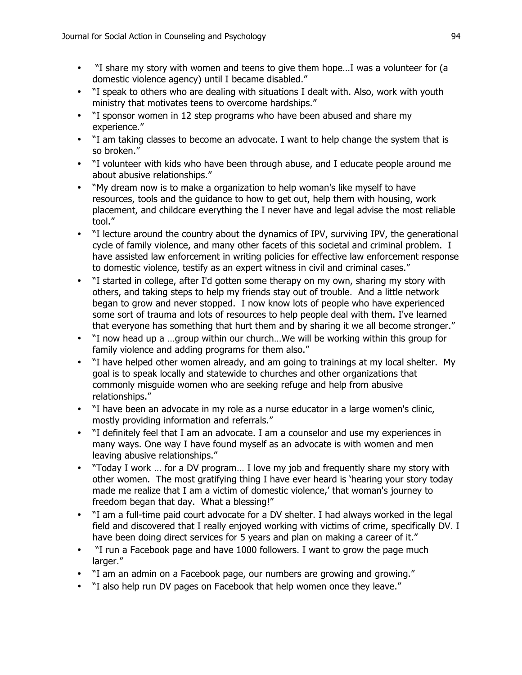- "I share my story with women and teens to give them hope…I was a volunteer for (a domestic violence agency) until I became disabled."
- "I speak to others who are dealing with situations I dealt with. Also, work with youth ministry that motivates teens to overcome hardships."
- "I sponsor women in 12 step programs who have been abused and share my experience."
- "I am taking classes to become an advocate. I want to help change the system that is so broken."
- "I volunteer with kids who have been through abuse, and I educate people around me about abusive relationships."
- "My dream now is to make a organization to help woman's like myself to have resources, tools and the guidance to how to get out, help them with housing, work placement, and childcare everything the I never have and legal advise the most reliable tool."
- "I lecture around the country about the dynamics of IPV, surviving IPV, the generational cycle of family violence, and many other facets of this societal and criminal problem. I have assisted law enforcement in writing policies for effective law enforcement response to domestic violence, testify as an expert witness in civil and criminal cases."
- "I started in college, after I'd gotten some therapy on my own, sharing my story with others, and taking steps to help my friends stay out of trouble. And a little network began to grow and never stopped. I now know lots of people who have experienced some sort of trauma and lots of resources to help people deal with them. I've learned that everyone has something that hurt them and by sharing it we all become stronger."
- "I now head up a …group within our church…We will be working within this group for family violence and adding programs for them also."
- "I have helped other women already, and am going to trainings at my local shelter. My goal is to speak locally and statewide to churches and other organizations that commonly misguide women who are seeking refuge and help from abusive relationships."
- "I have been an advocate in my role as a nurse educator in a large women's clinic, mostly providing information and referrals."
- "I definitely feel that I am an advocate. I am a counselor and use my experiences in many ways. One way I have found myself as an advocate is with women and men leaving abusive relationships."
- "Today I work … for a DV program… I love my job and frequently share my story with other women. The most gratifying thing I have ever heard is 'hearing your story today made me realize that I am a victim of domestic violence,' that woman's journey to freedom began that day. What a blessing!"
- "I am a full-time paid court advocate for a DV shelter. I had always worked in the legal field and discovered that I really enjoyed working with victims of crime, specifically DV. I have been doing direct services for 5 years and plan on making a career of it."
- "I run a Facebook page and have 1000 followers. I want to grow the page much larger."
- "I am an admin on a Facebook page, our numbers are growing and growing."
- "I also help run DV pages on Facebook that help women once they leave."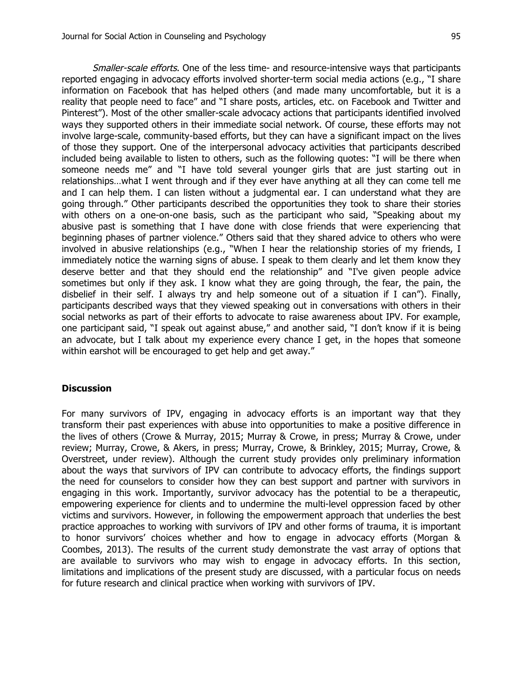Smaller-scale efforts. One of the less time- and resource-intensive ways that participants reported engaging in advocacy efforts involved shorter-term social media actions (e.g., "I share information on Facebook that has helped others (and made many uncomfortable, but it is a reality that people need to face" and "I share posts, articles, etc. on Facebook and Twitter and Pinterest"). Most of the other smaller-scale advocacy actions that participants identified involved ways they supported others in their immediate social network. Of course, these efforts may not involve large-scale, community-based efforts, but they can have a significant impact on the lives of those they support. One of the interpersonal advocacy activities that participants described included being available to listen to others, such as the following quotes: "I will be there when someone needs me" and "I have told several younger girls that are just starting out in relationships…what I went through and if they ever have anything at all they can come tell me and I can help them. I can listen without a judgmental ear. I can understand what they are going through." Other participants described the opportunities they took to share their stories with others on a one-on-one basis, such as the participant who said, "Speaking about my abusive past is something that I have done with close friends that were experiencing that beginning phases of partner violence." Others said that they shared advice to others who were involved in abusive relationships (e.g., "When I hear the relationship stories of my friends, I immediately notice the warning signs of abuse. I speak to them clearly and let them know they deserve better and that they should end the relationship" and "I've given people advice sometimes but only if they ask. I know what they are going through, the fear, the pain, the disbelief in their self. I always try and help someone out of a situation if I can''). Finally, participants described ways that they viewed speaking out in conversations with others in their social networks as part of their efforts to advocate to raise awareness about IPV. For example, one participant said, "I speak out against abuse," and another said, "I don't know if it is being an advocate, but I talk about my experience every chance I get, in the hopes that someone within earshot will be encouraged to get help and get away."

#### **Discussion**

For many survivors of IPV, engaging in advocacy efforts is an important way that they transform their past experiences with abuse into opportunities to make a positive difference in the lives of others (Crowe & Murray, 2015; Murray & Crowe, in press; Murray & Crowe, under review; Murray, Crowe, & Akers, in press; Murray, Crowe, & Brinkley, 2015; Murray, Crowe, & Overstreet, under review). Although the current study provides only preliminary information about the ways that survivors of IPV can contribute to advocacy efforts, the findings support the need for counselors to consider how they can best support and partner with survivors in engaging in this work. Importantly, survivor advocacy has the potential to be a therapeutic, empowering experience for clients and to undermine the multi-level oppression faced by other victims and survivors. However, in following the empowerment approach that underlies the best practice approaches to working with survivors of IPV and other forms of trauma, it is important to honor survivors' choices whether and how to engage in advocacy efforts (Morgan & Coombes, 2013). The results of the current study demonstrate the vast array of options that are available to survivors who may wish to engage in advocacy efforts. In this section, limitations and implications of the present study are discussed, with a particular focus on needs for future research and clinical practice when working with survivors of IPV.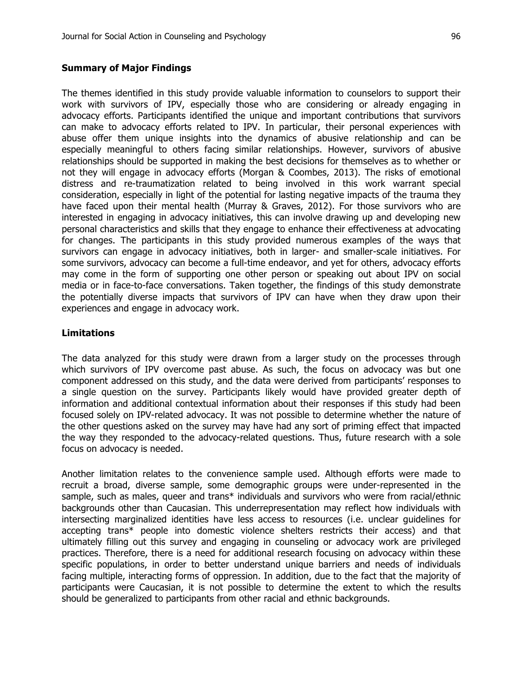#### **Summary of Major Findings**

The themes identified in this study provide valuable information to counselors to support their work with survivors of IPV, especially those who are considering or already engaging in advocacy efforts. Participants identified the unique and important contributions that survivors can make to advocacy efforts related to IPV. In particular, their personal experiences with abuse offer them unique insights into the dynamics of abusive relationship and can be especially meaningful to others facing similar relationships. However, survivors of abusive relationships should be supported in making the best decisions for themselves as to whether or not they will engage in advocacy efforts (Morgan & Coombes, 2013). The risks of emotional distress and re-traumatization related to being involved in this work warrant special consideration, especially in light of the potential for lasting negative impacts of the trauma they have faced upon their mental health (Murray & Graves, 2012). For those survivors who are interested in engaging in advocacy initiatives, this can involve drawing up and developing new personal characteristics and skills that they engage to enhance their effectiveness at advocating for changes. The participants in this study provided numerous examples of the ways that survivors can engage in advocacy initiatives, both in larger- and smaller-scale initiatives. For some survivors, advocacy can become a full-time endeavor, and yet for others, advocacy efforts may come in the form of supporting one other person or speaking out about IPV on social media or in face-to-face conversations. Taken together, the findings of this study demonstrate the potentially diverse impacts that survivors of IPV can have when they draw upon their experiences and engage in advocacy work.

#### **Limitations**

The data analyzed for this study were drawn from a larger study on the processes through which survivors of IPV overcome past abuse. As such, the focus on advocacy was but one component addressed on this study, and the data were derived from participants' responses to a single question on the survey. Participants likely would have provided greater depth of information and additional contextual information about their responses if this study had been focused solely on IPV-related advocacy. It was not possible to determine whether the nature of the other questions asked on the survey may have had any sort of priming effect that impacted the way they responded to the advocacy-related questions. Thus, future research with a sole focus on advocacy is needed.

Another limitation relates to the convenience sample used. Although efforts were made to recruit a broad, diverse sample, some demographic groups were under-represented in the sample, such as males, queer and trans\* individuals and survivors who were from racial/ethnic backgrounds other than Caucasian. This underrepresentation may reflect how individuals with intersecting marginalized identities have less access to resources (i.e. unclear guidelines for accepting trans\* people into domestic violence shelters restricts their access) and that ultimately filling out this survey and engaging in counseling or advocacy work are privileged practices. Therefore, there is a need for additional research focusing on advocacy within these specific populations, in order to better understand unique barriers and needs of individuals facing multiple, interacting forms of oppression. In addition, due to the fact that the majority of participants were Caucasian, it is not possible to determine the extent to which the results should be generalized to participants from other racial and ethnic backgrounds.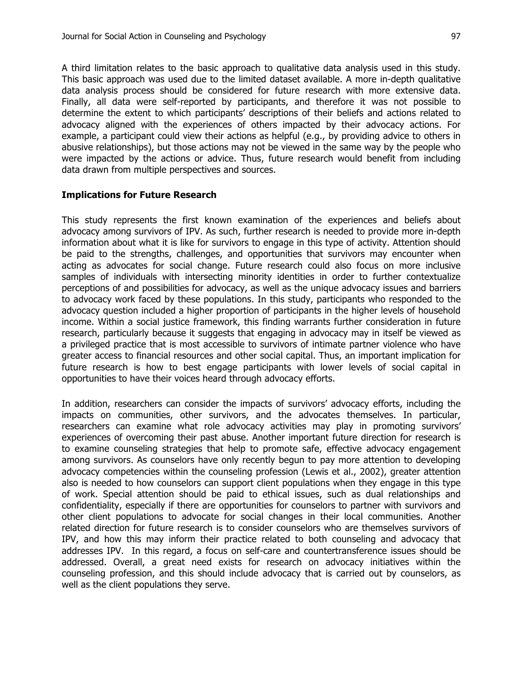A third limitation relates to the basic approach to qualitative data analysis used in this study. This basic approach was used due to the limited dataset available. A more in-depth qualitative data analysis process should be considered for future research with more extensive data. Finally, all data were self-reported by participants, and therefore it was not possible to determine the extent to which participants' descriptions of their beliefs and actions related to advocacy aligned with the experiences of others impacted by their advocacy actions. For example, a participant could view their actions as helpful (e.g., by providing advice to others in abusive relationships), but those actions may not be viewed in the same way by the people who were impacted by the actions or advice. Thus, future research would benefit from including data drawn from multiple perspectives and sources.

## **Implications for Future Research**

This study represents the first known examination of the experiences and beliefs about advocacy among survivors of IPV. As such, further research is needed to provide more in-depth information about what it is like for survivors to engage in this type of activity. Attention should be paid to the strengths, challenges, and opportunities that survivors may encounter when acting as advocates for social change. Future research could also focus on more inclusive samples of individuals with intersecting minority identities in order to further contextualize perceptions of and possibilities for advocacy, as well as the unique advocacy issues and barriers to advocacy work faced by these populations. In this study, participants who responded to the advocacy question included a higher proportion of participants in the higher levels of household income. Within a social justice framework, this finding warrants further consideration in future research, particularly because it suggests that engaging in advocacy may in itself be viewed as a privileged practice that is most accessible to survivors of intimate partner violence who have greater access to financial resources and other social capital. Thus, an important implication for future research is how to best engage participants with lower levels of social capital in opportunities to have their voices heard through advocacy efforts.

In addition, researchers can consider the impacts of survivors' advocacy efforts, including the impacts on communities, other survivors, and the advocates themselves. In particular, researchers can examine what role advocacy activities may play in promoting survivors' experiences of overcoming their past abuse. Another important future direction for research is to examine counseling strategies that help to promote safe, effective advocacy engagement among survivors. As counselors have only recently begun to pay more attention to developing advocacy competencies within the counseling profession (Lewis et al., 2002), greater attention also is needed to how counselors can support client populations when they engage in this type of work. Special attention should be paid to ethical issues, such as dual relationships and confidentiality, especially if there are opportunities for counselors to partner with survivors and other client populations to advocate for social changes in their local communities. Another related direction for future research is to consider counselors who are themselves survivors of IPV, and how this may inform their practice related to both counseling and advocacy that addresses IPV. In this regard, a focus on self-care and countertransference issues should be addressed. Overall, a great need exists for research on advocacy initiatives within the counseling profession, and this should include advocacy that is carried out by counselors, as well as the client populations they serve.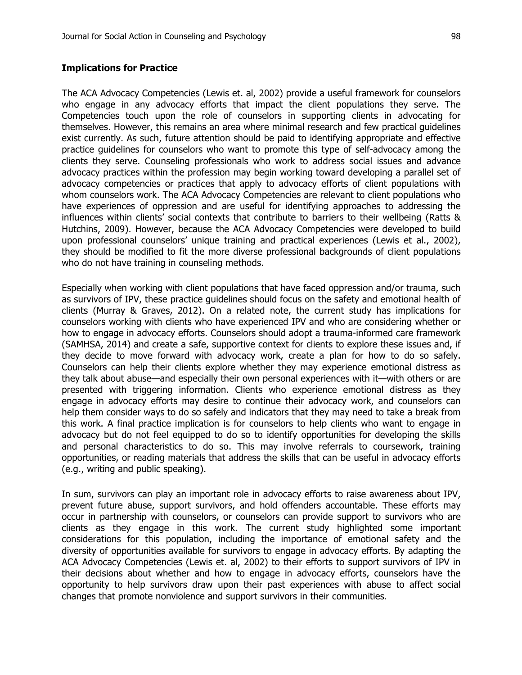#### **Implications for Practice**

The ACA Advocacy Competencies (Lewis et. al, 2002) provide a useful framework for counselors who engage in any advocacy efforts that impact the client populations they serve. The Competencies touch upon the role of counselors in supporting clients in advocating for themselves. However, this remains an area where minimal research and few practical guidelines exist currently. As such, future attention should be paid to identifying appropriate and effective practice guidelines for counselors who want to promote this type of self-advocacy among the clients they serve. Counseling professionals who work to address social issues and advance advocacy practices within the profession may begin working toward developing a parallel set of advocacy competencies or practices that apply to advocacy efforts of client populations with whom counselors work. The ACA Advocacy Competencies are relevant to client populations who have experiences of oppression and are useful for identifying approaches to addressing the influences within clients' social contexts that contribute to barriers to their wellbeing (Ratts & Hutchins, 2009). However, because the ACA Advocacy Competencies were developed to build upon professional counselors' unique training and practical experiences (Lewis et al., 2002), they should be modified to fit the more diverse professional backgrounds of client populations who do not have training in counseling methods.

Especially when working with client populations that have faced oppression and/or trauma, such as survivors of IPV, these practice guidelines should focus on the safety and emotional health of clients (Murray & Graves, 2012). On a related note, the current study has implications for counselors working with clients who have experienced IPV and who are considering whether or how to engage in advocacy efforts. Counselors should adopt a trauma-informed care framework (SAMHSA, 2014) and create a safe, supportive context for clients to explore these issues and, if they decide to move forward with advocacy work, create a plan for how to do so safely. Counselors can help their clients explore whether they may experience emotional distress as they talk about abuse—and especially their own personal experiences with it—with others or are presented with triggering information. Clients who experience emotional distress as they engage in advocacy efforts may desire to continue their advocacy work, and counselors can help them consider ways to do so safely and indicators that they may need to take a break from this work. A final practice implication is for counselors to help clients who want to engage in advocacy but do not feel equipped to do so to identify opportunities for developing the skills and personal characteristics to do so. This may involve referrals to coursework, training opportunities, or reading materials that address the skills that can be useful in advocacy efforts (e.g., writing and public speaking).

In sum, survivors can play an important role in advocacy efforts to raise awareness about IPV, prevent future abuse, support survivors, and hold offenders accountable. These efforts may occur in partnership with counselors, or counselors can provide support to survivors who are clients as they engage in this work. The current study highlighted some important considerations for this population, including the importance of emotional safety and the diversity of opportunities available for survivors to engage in advocacy efforts. By adapting the ACA Advocacy Competencies (Lewis et. al, 2002) to their efforts to support survivors of IPV in their decisions about whether and how to engage in advocacy efforts, counselors have the opportunity to help survivors draw upon their past experiences with abuse to affect social changes that promote nonviolence and support survivors in their communities.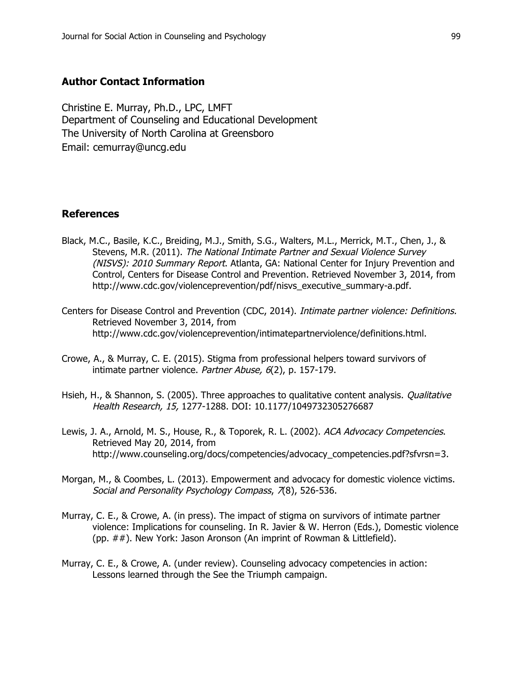## **Author Contact Information**

Christine E. Murray, Ph.D., LPC, LMFT Department of Counseling and Educational Development The University of North Carolina at Greensboro Email: cemurray@uncg.edu

#### **References**

- Black, M.C., Basile, K.C., Breiding, M.J., Smith, S.G., Walters, M.L., Merrick, M.T., Chen, J., & Stevens, M.R. (2011). The National Intimate Partner and Sexual Violence Survey (NISVS): 2010 Summary Report. Atlanta, GA: National Center for Injury Prevention and Control, Centers for Disease Control and Prevention. Retrieved November 3, 2014, from http://www.cdc.gov/violenceprevention/pdf/nisvs\_executive\_summary-a.pdf.
- Centers for Disease Control and Prevention (CDC, 2014). Intimate partner violence: Definitions. Retrieved November 3, 2014, from http://www.cdc.gov/violenceprevention/intimatepartnerviolence/definitions.html.
- Crowe, A., & Murray, C. E. (2015). Stigma from professional helpers toward survivors of intimate partner violence. Partner Abuse, 6(2), p. 157-179.
- Hsieh, H., & Shannon, S. (2005). Three approaches to qualitative content analysis. *Qualitative* Health Research, 15, 1277-1288. DOI: 10.1177/1049732305276687
- Lewis, J. A., Arnold, M. S., House, R., & Toporek, R. L. (2002). ACA Advocacy Competencies. Retrieved May 20, 2014, from http://www.counseling.org/docs/competencies/advocacy\_competencies.pdf?sfvrsn=3.
- Morgan, M., & Coombes, L. (2013). Empowerment and advocacy for domestic violence victims. Social and Personality Psychology Compass, 7(8), 526-536.
- Murray, C. E., & Crowe, A. (in press). The impact of stigma on survivors of intimate partner violence: Implications for counseling. In R. Javier & W. Herron (Eds.), Domestic violence (pp. ##). New York: Jason Aronson (An imprint of Rowman & Littlefield).
- Murray, C. E., & Crowe, A. (under review). Counseling advocacy competencies in action: Lessons learned through the See the Triumph campaign.